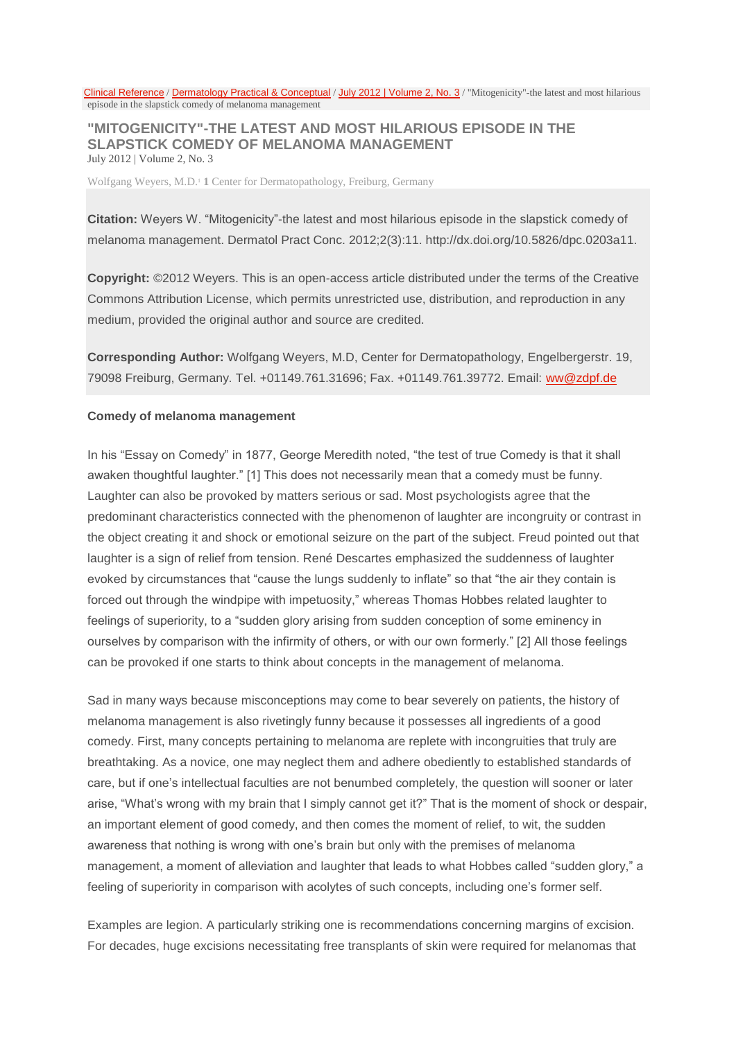Clinical [Reference](https://www.derm101.com/core-resources/) / [Dermatology](https://www.derm101.com/core-resources/dermatology-practical-conceptual/) Practical & Conceptual / July 2012 | [Volume](https://www.derm101.com/dpc/july-2012-volume-2-no-3/) 2, No. 3 / "Mitogenicity"-the latest and most hilarious episode in the slapstick comedy of melanoma management

## **"MITOGENICITY"-THE LATEST AND MOST HILARIOUS EPISODE IN THE SLAPSTICK COMEDY OF MELANOMA MANAGEMENT** July 2012 | Volume 2, No. 3

Wolfgang Weyers, M.D.<sup>1</sup> **1** Center for Dermatopathology, Freiburg, Germany

**Citation:** Weyers W. "Mitogenicity"-the latest and most hilarious episode in the slapstick comedy of melanoma management. Dermatol Pract Conc. 2012;2(3):11. http://dx.doi.org/10.5826/dpc.0203a11.

**Copyright:** ©2012 Weyers. This is an open-access article distributed under the terms of the Creative Commons Attribution License, which permits unrestricted use, distribution, and reproduction in any medium, provided the original author and source are credited.

**Corresponding Author:** Wolfgang Weyers, M.D, Center for Dermatopathology, Engelbergerstr. 19, 79098 Freiburg, Germany. Tel. +01149.761.31696; Fax. +01149.761.39772. Email: [ww@zdpf.de](mailto:ww@zdpf.de)

## **Comedy of melanoma management**

In his "Essay on Comedy" in 1877, George Meredith noted, "the test of true Comedy is that it shall awaken thoughtful laughter." [1] This does not necessarily mean that a comedy must be funny. Laughter can also be provoked by matters serious or sad. Most psychologists agree that the predominant characteristics connected with the phenomenon of laughter are incongruity or contrast in the object creating it and shock or emotional seizure on the part of the subject. Freud pointed out that laughter is a sign of relief from tension. René Descartes emphasized the suddenness of laughter evoked by circumstances that "cause the lungs suddenly to inflate" so that "the air they contain is forced out through the windpipe with impetuosity," whereas Thomas Hobbes related laughter to feelings of superiority, to a "sudden glory arising from sudden conception of some eminency in ourselves by comparison with the infirmity of others, or with our own formerly." [2] All those feelings can be provoked if one starts to think about concepts in the management of melanoma.

Sad in many ways because misconceptions may come to bear severely on patients, the history of melanoma management is also rivetingly funny because it possesses all ingredients of a good comedy. First, many concepts pertaining to melanoma are replete with incongruities that truly are breathtaking. As a novice, one may neglect them and adhere obediently to established standards of care, but if one's intellectual faculties are not benumbed completely, the question will sooner or later arise, "What's wrong with my brain that I simply cannot get it?" That is the moment of shock or despair, an important element of good comedy, and then comes the moment of relief, to wit, the sudden awareness that nothing is wrong with one's brain but only with the premises of melanoma management, a moment of alleviation and laughter that leads to what Hobbes called "sudden glory," a feeling of superiority in comparison with acolytes of such concepts, including one's former self.

Examples are legion. A particularly striking one is recommendations concerning margins of excision. For decades, huge excisions necessitating free transplants of skin were required for melanomas that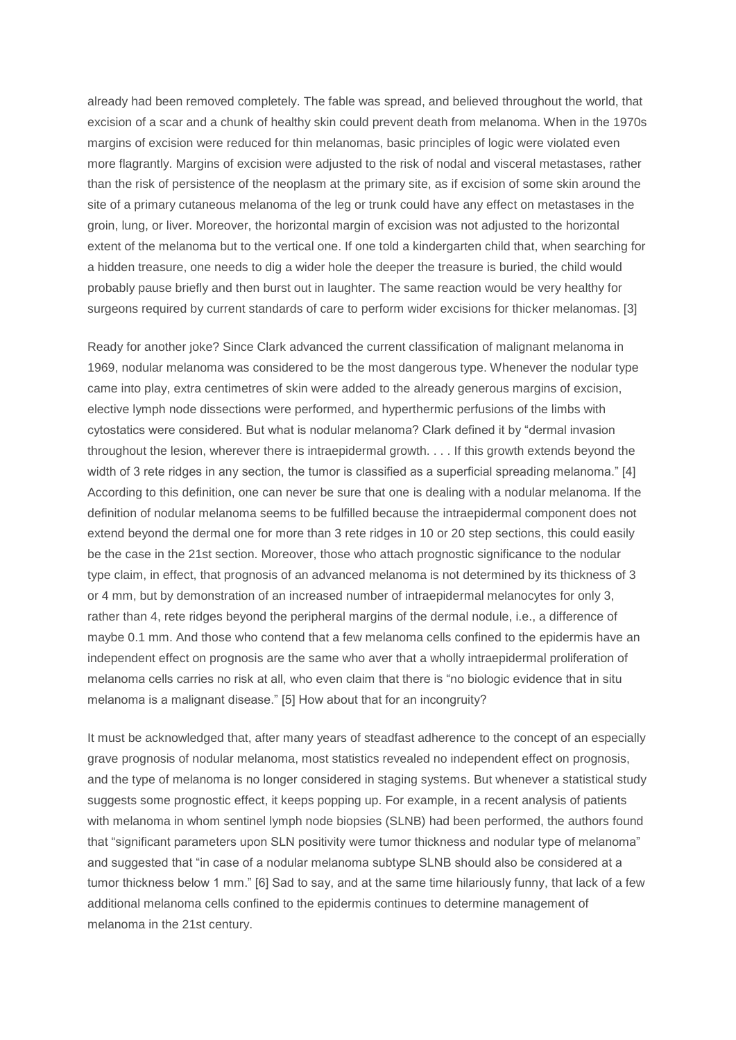already had been removed completely. The fable was spread, and believed throughout the world, that excision of a scar and a chunk of healthy skin could prevent death from melanoma. When in the 1970s margins of excision were reduced for thin melanomas, basic principles of logic were violated even more flagrantly. Margins of excision were adjusted to the risk of nodal and visceral metastases, rather than the risk of persistence of the neoplasm at the primary site, as if excision of some skin around the site of a primary cutaneous melanoma of the leg or trunk could have any effect on metastases in the groin, lung, or liver. Moreover, the horizontal margin of excision was not adjusted to the horizontal extent of the melanoma but to the vertical one. If one told a kindergarten child that, when searching for a hidden treasure, one needs to dig a wider hole the deeper the treasure is buried, the child would probably pause briefly and then burst out in laughter. The same reaction would be very healthy for surgeons required by current standards of care to perform wider excisions for thicker melanomas. [3]

Ready for another joke? Since Clark advanced the current classification of malignant melanoma in 1969, nodular melanoma was considered to be the most dangerous type. Whenever the nodular type came into play, extra centimetres of skin were added to the already generous margins of excision, elective lymph node dissections were performed, and hyperthermic perfusions of the limbs with cytostatics were considered. But what is nodular melanoma? Clark defined it by "dermal invasion throughout the lesion, wherever there is intraepidermal growth. . . . If this growth extends beyond the width of 3 rete ridges in any section, the tumor is classified as a superficial spreading melanoma." [4] According to this definition, one can never be sure that one is dealing with a nodular melanoma. If the definition of nodular melanoma seems to be fulfilled because the intraepidermal component does not extend beyond the dermal one for more than 3 rete ridges in 10 or 20 step sections, this could easily be the case in the 21st section. Moreover, those who attach prognostic significance to the nodular type claim, in effect, that prognosis of an advanced melanoma is not determined by its thickness of 3 or 4 mm, but by demonstration of an increased number of intraepidermal melanocytes for only 3, rather than 4, rete ridges beyond the peripheral margins of the dermal nodule, i.e., a difference of maybe 0.1 mm. And those who contend that a few melanoma cells confined to the epidermis have an independent effect on prognosis are the same who aver that a wholly intraepidermal proliferation of melanoma cells carries no risk at all, who even claim that there is "no biologic evidence that in situ melanoma is a malignant disease." [5] How about that for an incongruity?

It must be acknowledged that, after many years of steadfast adherence to the concept of an especially grave prognosis of nodular melanoma, most statistics revealed no independent effect on prognosis, and the type of melanoma is no longer considered in staging systems. But whenever a statistical study suggests some prognostic effect, it keeps popping up. For example, in a recent analysis of patients with melanoma in whom sentinel lymph node biopsies (SLNB) had been performed, the authors found that "significant parameters upon SLN positivity were tumor thickness and nodular type of melanoma" and suggested that "in case of a nodular melanoma subtype SLNB should also be considered at a tumor thickness below 1 mm." [6] Sad to say, and at the same time hilariously funny, that lack of a few additional melanoma cells confined to the epidermis continues to determine management of melanoma in the 21st century.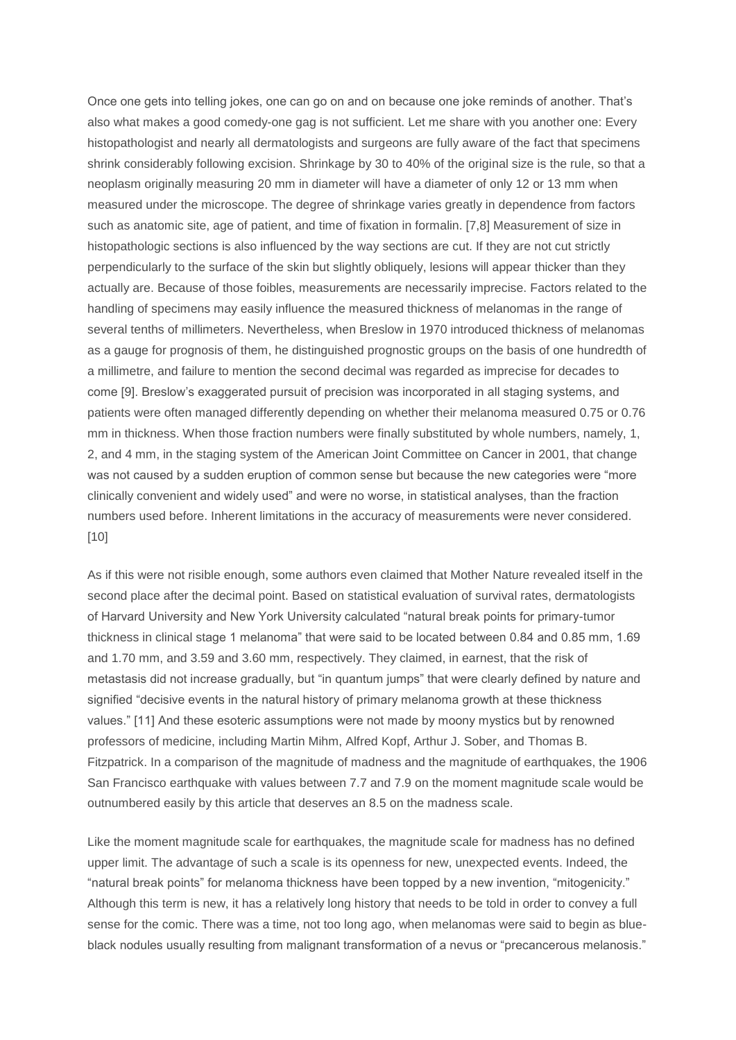Once one gets into telling jokes, one can go on and on because one joke reminds of another. That's also what makes a good comedy-one gag is not sufficient. Let me share with you another one: Every histopathologist and nearly all dermatologists and surgeons are fully aware of the fact that specimens shrink considerably following excision. Shrinkage by 30 to 40% of the original size is the rule, so that a neoplasm originally measuring 20 mm in diameter will have a diameter of only 12 or 13 mm when measured under the microscope. The degree of shrinkage varies greatly in dependence from factors such as anatomic site, age of patient, and time of fixation in formalin. [7,8] Measurement of size in histopathologic sections is also influenced by the way sections are cut. If they are not cut strictly perpendicularly to the surface of the skin but slightly obliquely, lesions will appear thicker than they actually are. Because of those foibles, measurements are necessarily imprecise. Factors related to the handling of specimens may easily influence the measured thickness of melanomas in the range of several tenths of millimeters. Nevertheless, when Breslow in 1970 introduced thickness of melanomas as a gauge for prognosis of them, he distinguished prognostic groups on the basis of one hundredth of a millimetre, and failure to mention the second decimal was regarded as imprecise for decades to come [9]. Breslow's exaggerated pursuit of precision was incorporated in all staging systems, and patients were often managed differently depending on whether their melanoma measured 0.75 or 0.76 mm in thickness. When those fraction numbers were finally substituted by whole numbers, namely, 1, 2, and 4 mm, in the staging system of the American Joint Committee on Cancer in 2001, that change was not caused by a sudden eruption of common sense but because the new categories were "more clinically convenient and widely used" and were no worse, in statistical analyses, than the fraction numbers used before. Inherent limitations in the accuracy of measurements were never considered. [10]

As if this were not risible enough, some authors even claimed that Mother Nature revealed itself in the second place after the decimal point. Based on statistical evaluation of survival rates, dermatologists of Harvard University and New York University calculated "natural break points for primary-tumor thickness in clinical stage 1 melanoma" that were said to be located between 0.84 and 0.85 mm, 1.69 and 1.70 mm, and 3.59 and 3.60 mm, respectively. They claimed, in earnest, that the risk of metastasis did not increase gradually, but "in quantum jumps" that were clearly defined by nature and signified "decisive events in the natural history of primary melanoma growth at these thickness values." [11] And these esoteric assumptions were not made by moony mystics but by renowned professors of medicine, including Martin Mihm, Alfred Kopf, Arthur J. Sober, and Thomas B. Fitzpatrick. In a comparison of the magnitude of madness and the magnitude of earthquakes, the 1906 San Francisco earthquake with values between 7.7 and 7.9 on the moment magnitude scale would be outnumbered easily by this article that deserves an 8.5 on the madness scale.

Like the moment magnitude scale for earthquakes, the magnitude scale for madness has no defined upper limit. The advantage of such a scale is its openness for new, unexpected events. Indeed, the "natural break points" for melanoma thickness have been topped by a new invention, "mitogenicity." Although this term is new, it has a relatively long history that needs to be told in order to convey a full sense for the comic. There was a time, not too long ago, when melanomas were said to begin as blueblack nodules usually resulting from malignant transformation of a nevus or "precancerous melanosis."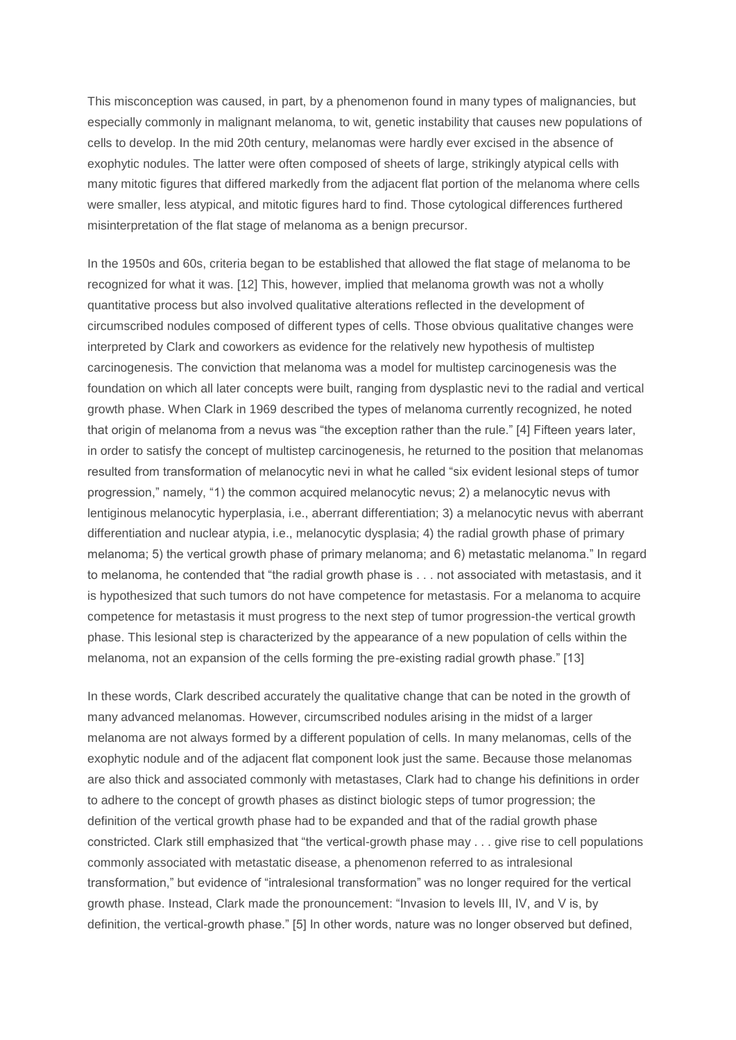This misconception was caused, in part, by a phenomenon found in many types of malignancies, but especially commonly in malignant melanoma, to wit, genetic instability that causes new populations of cells to develop. In the mid 20th century, melanomas were hardly ever excised in the absence of exophytic nodules. The latter were often composed of sheets of large, strikingly atypical cells with many mitotic figures that differed markedly from the adjacent flat portion of the melanoma where cells were smaller, less atypical, and mitotic figures hard to find. Those cytological differences furthered misinterpretation of the flat stage of melanoma as a benign precursor.

In the 1950s and 60s, criteria began to be established that allowed the flat stage of melanoma to be recognized for what it was. [12] This, however, implied that melanoma growth was not a wholly quantitative process but also involved qualitative alterations reflected in the development of circumscribed nodules composed of different types of cells. Those obvious qualitative changes were interpreted by Clark and coworkers as evidence for the relatively new hypothesis of multistep carcinogenesis. The conviction that melanoma was a model for multistep carcinogenesis was the foundation on which all later concepts were built, ranging from dysplastic nevi to the radial and vertical growth phase. When Clark in 1969 described the types of melanoma currently recognized, he noted that origin of melanoma from a nevus was "the exception rather than the rule." [4] Fifteen years later, in order to satisfy the concept of multistep carcinogenesis, he returned to the position that melanomas resulted from transformation of melanocytic nevi in what he called "six evident lesional steps of tumor progression," namely, "1) the common acquired melanocytic nevus; 2) a melanocytic nevus with lentiginous melanocytic hyperplasia, i.e., aberrant differentiation; 3) a melanocytic nevus with aberrant differentiation and nuclear atypia, i.e., melanocytic dysplasia; 4) the radial growth phase of primary melanoma; 5) the vertical growth phase of primary melanoma; and 6) metastatic melanoma." In regard to melanoma, he contended that "the radial growth phase is . . . not associated with metastasis, and it is hypothesized that such tumors do not have competence for metastasis. For a melanoma to acquire competence for metastasis it must progress to the next step of tumor progression-the vertical growth phase. This lesional step is characterized by the appearance of a new population of cells within the melanoma, not an expansion of the cells forming the pre-existing radial growth phase." [13]

In these words, Clark described accurately the qualitative change that can be noted in the growth of many advanced melanomas. However, circumscribed nodules arising in the midst of a larger melanoma are not always formed by a different population of cells. In many melanomas, cells of the exophytic nodule and of the adjacent flat component look just the same. Because those melanomas are also thick and associated commonly with metastases, Clark had to change his definitions in order to adhere to the concept of growth phases as distinct biologic steps of tumor progression; the definition of the vertical growth phase had to be expanded and that of the radial growth phase constricted. Clark still emphasized that "the vertical-growth phase may . . . give rise to cell populations commonly associated with metastatic disease, a phenomenon referred to as intralesional transformation," but evidence of "intralesional transformation" was no longer required for the vertical growth phase. Instead, Clark made the pronouncement: "Invasion to levels III, IV, and V is, by definition, the vertical-growth phase." [5] In other words, nature was no longer observed but defined,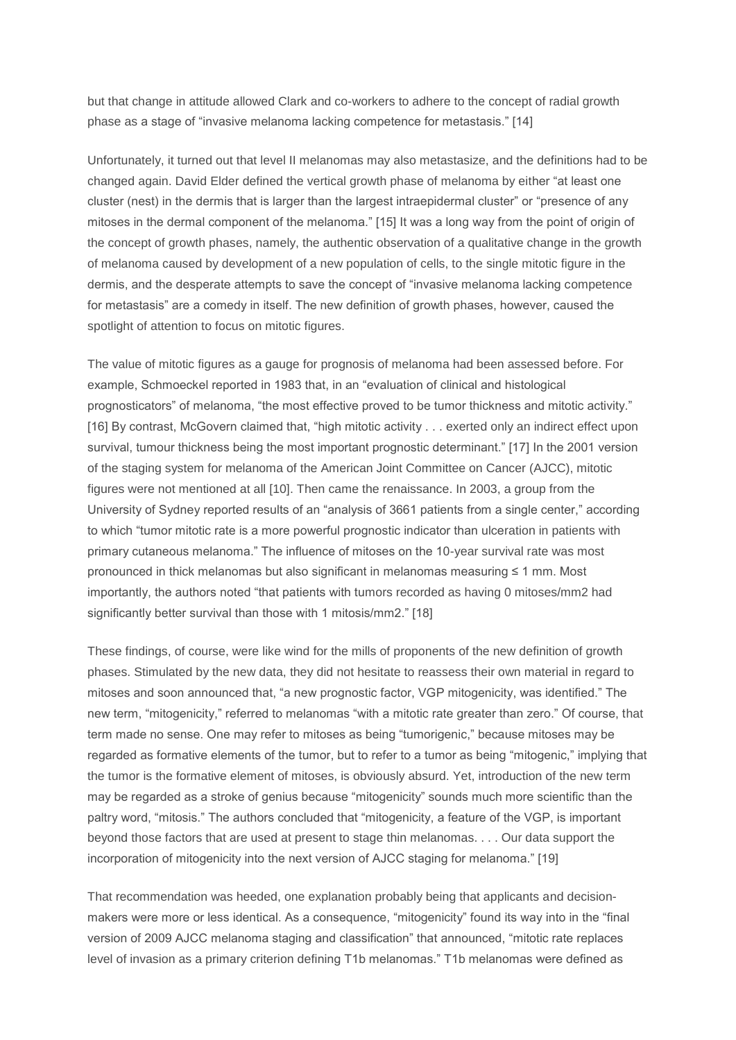but that change in attitude allowed Clark and co-workers to adhere to the concept of radial growth phase as a stage of "invasive melanoma lacking competence for metastasis." [14]

Unfortunately, it turned out that level II melanomas may also metastasize, and the definitions had to be changed again. David Elder defined the vertical growth phase of melanoma by either "at least one cluster (nest) in the dermis that is larger than the largest intraepidermal cluster" or "presence of any mitoses in the dermal component of the melanoma." [15] It was a long way from the point of origin of the concept of growth phases, namely, the authentic observation of a qualitative change in the growth of melanoma caused by development of a new population of cells, to the single mitotic figure in the dermis, and the desperate attempts to save the concept of "invasive melanoma lacking competence for metastasis" are a comedy in itself. The new definition of growth phases, however, caused the spotlight of attention to focus on mitotic figures.

The value of mitotic figures as a gauge for prognosis of melanoma had been assessed before. For example, Schmoeckel reported in 1983 that, in an "evaluation of clinical and histological prognosticators" of melanoma, "the most effective proved to be tumor thickness and mitotic activity." [16] By contrast, McGovern claimed that, "high mitotic activity . . . exerted only an indirect effect upon survival, tumour thickness being the most important prognostic determinant." [17] In the 2001 version of the staging system for melanoma of the American Joint Committee on Cancer (AJCC), mitotic figures were not mentioned at all [10]. Then came the renaissance. In 2003, a group from the University of Sydney reported results of an "analysis of 3661 patients from a single center," according to which "tumor mitotic rate is a more powerful prognostic indicator than ulceration in patients with primary cutaneous melanoma." The influence of mitoses on the 10-year survival rate was most pronounced in thick melanomas but also significant in melanomas measuring ≤ 1 mm. Most importantly, the authors noted "that patients with tumors recorded as having 0 mitoses/mm2 had significantly better survival than those with 1 mitosis/mm2." [18]

These findings, of course, were like wind for the mills of proponents of the new definition of growth phases. Stimulated by the new data, they did not hesitate to reassess their own material in regard to mitoses and soon announced that, "a new prognostic factor, VGP mitogenicity, was identified." The new term, "mitogenicity," referred to melanomas "with a mitotic rate greater than zero." Of course, that term made no sense. One may refer to mitoses as being "tumorigenic," because mitoses may be regarded as formative elements of the tumor, but to refer to a tumor as being "mitogenic," implying that the tumor is the formative element of mitoses, is obviously absurd. Yet, introduction of the new term may be regarded as a stroke of genius because "mitogenicity" sounds much more scientific than the paltry word, "mitosis." The authors concluded that "mitogenicity, a feature of the VGP, is important beyond those factors that are used at present to stage thin melanomas. . . . Our data support the incorporation of mitogenicity into the next version of AJCC staging for melanoma." [19]

That recommendation was heeded, one explanation probably being that applicants and decisionmakers were more or less identical. As a consequence, "mitogenicity" found its way into in the "final version of 2009 AJCC melanoma staging and classification" that announced, "mitotic rate replaces level of invasion as a primary criterion defining T1b melanomas." T1b melanomas were defined as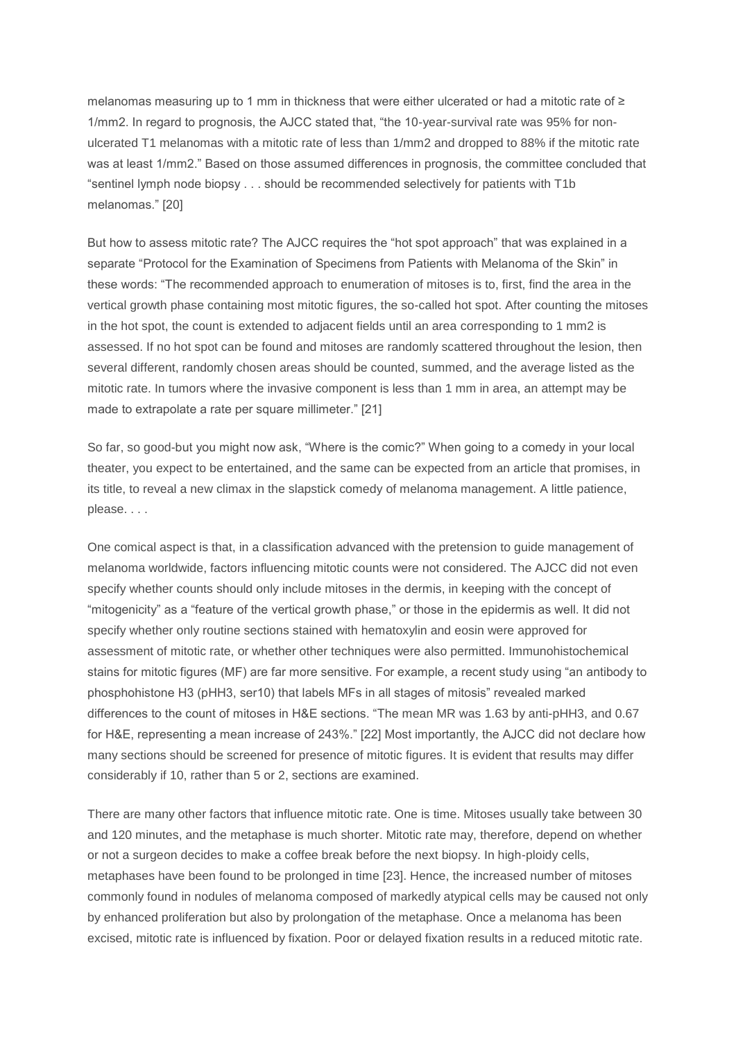melanomas measuring up to 1 mm in thickness that were either ulcerated or had a mitotic rate of ≥ 1/mm2. In regard to prognosis, the AJCC stated that, "the 10-year-survival rate was 95% for nonulcerated T1 melanomas with a mitotic rate of less than 1/mm2 and dropped to 88% if the mitotic rate was at least 1/mm2." Based on those assumed differences in prognosis, the committee concluded that "sentinel lymph node biopsy . . . should be recommended selectively for patients with T1b melanomas." [20]

But how to assess mitotic rate? The AJCC requires the "hot spot approach" that was explained in a separate "Protocol for the Examination of Specimens from Patients with Melanoma of the Skin" in these words: "The recommended approach to enumeration of mitoses is to, first, find the area in the vertical growth phase containing most mitotic figures, the so-called hot spot. After counting the mitoses in the hot spot, the count is extended to adjacent fields until an area corresponding to 1 mm2 is assessed. If no hot spot can be found and mitoses are randomly scattered throughout the lesion, then several different, randomly chosen areas should be counted, summed, and the average listed as the mitotic rate. In tumors where the invasive component is less than 1 mm in area, an attempt may be made to extrapolate a rate per square millimeter." [21]

So far, so good-but you might now ask, "Where is the comic?" When going to a comedy in your local theater, you expect to be entertained, and the same can be expected from an article that promises, in its title, to reveal a new climax in the slapstick comedy of melanoma management. A little patience, please. . . .

One comical aspect is that, in a classification advanced with the pretension to guide management of melanoma worldwide, factors influencing mitotic counts were not considered. The AJCC did not even specify whether counts should only include mitoses in the dermis, in keeping with the concept of "mitogenicity" as a "feature of the vertical growth phase," or those in the epidermis as well. It did not specify whether only routine sections stained with hematoxylin and eosin were approved for assessment of mitotic rate, or whether other techniques were also permitted. Immunohistochemical stains for mitotic figures (MF) are far more sensitive. For example, a recent study using "an antibody to phosphohistone H3 (pHH3, ser10) that labels MFs in all stages of mitosis" revealed marked differences to the count of mitoses in H&E sections. "The mean MR was 1.63 by anti-pHH3, and 0.67 for H&E, representing a mean increase of 243%." [22] Most importantly, the AJCC did not declare how many sections should be screened for presence of mitotic figures. It is evident that results may differ considerably if 10, rather than 5 or 2, sections are examined.

There are many other factors that influence mitotic rate. One is time. Mitoses usually take between 30 and 120 minutes, and the metaphase is much shorter. Mitotic rate may, therefore, depend on whether or not a surgeon decides to make a coffee break before the next biopsy. In high-ploidy cells, metaphases have been found to be prolonged in time [23]. Hence, the increased number of mitoses commonly found in nodules of melanoma composed of markedly atypical cells may be caused not only by enhanced proliferation but also by prolongation of the metaphase. Once a melanoma has been excised, mitotic rate is influenced by fixation. Poor or delayed fixation results in a reduced mitotic rate.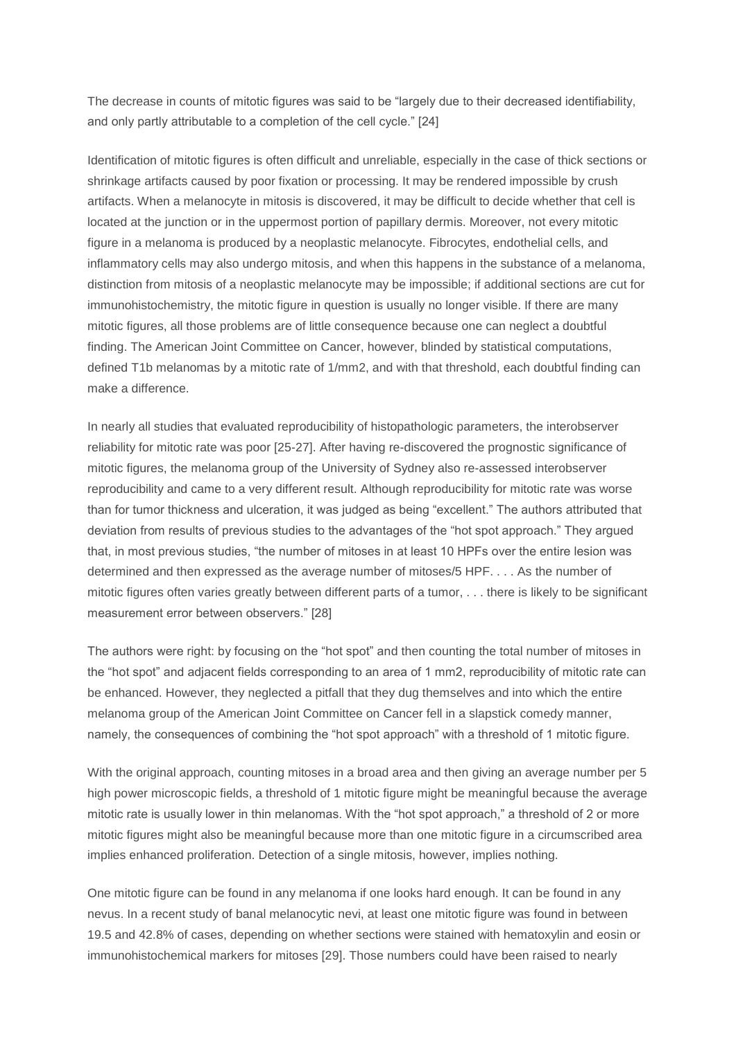The decrease in counts of mitotic figures was said to be "largely due to their decreased identifiability, and only partly attributable to a completion of the cell cycle." [24]

Identification of mitotic figures is often difficult and unreliable, especially in the case of thick sections or shrinkage artifacts caused by poor fixation or processing. It may be rendered impossible by crush artifacts. When a melanocyte in mitosis is discovered, it may be difficult to decide whether that cell is located at the junction or in the uppermost portion of papillary dermis. Moreover, not every mitotic figure in a melanoma is produced by a neoplastic melanocyte. Fibrocytes, endothelial cells, and inflammatory cells may also undergo mitosis, and when this happens in the substance of a melanoma, distinction from mitosis of a neoplastic melanocyte may be impossible; if additional sections are cut for immunohistochemistry, the mitotic figure in question is usually no longer visible. If there are many mitotic figures, all those problems are of little consequence because one can neglect a doubtful finding. The American Joint Committee on Cancer, however, blinded by statistical computations, defined T1b melanomas by a mitotic rate of 1/mm2, and with that threshold, each doubtful finding can make a difference.

In nearly all studies that evaluated reproducibility of histopathologic parameters, the interobserver reliability for mitotic rate was poor [25-27]. After having re-discovered the prognostic significance of mitotic figures, the melanoma group of the University of Sydney also re-assessed interobserver reproducibility and came to a very different result. Although reproducibility for mitotic rate was worse than for tumor thickness and ulceration, it was judged as being "excellent." The authors attributed that deviation from results of previous studies to the advantages of the "hot spot approach." They argued that, in most previous studies, "the number of mitoses in at least 10 HPFs over the entire lesion was determined and then expressed as the average number of mitoses/5 HPF. . . . As the number of mitotic figures often varies greatly between different parts of a tumor, . . . there is likely to be significant measurement error between observers." [28]

The authors were right: by focusing on the "hot spot" and then counting the total number of mitoses in the "hot spot" and adjacent fields corresponding to an area of 1 mm2, reproducibility of mitotic rate can be enhanced. However, they neglected a pitfall that they dug themselves and into which the entire melanoma group of the American Joint Committee on Cancer fell in a slapstick comedy manner, namely, the consequences of combining the "hot spot approach" with a threshold of 1 mitotic figure.

With the original approach, counting mitoses in a broad area and then giving an average number per 5 high power microscopic fields, a threshold of 1 mitotic figure might be meaningful because the average mitotic rate is usually lower in thin melanomas. With the "hot spot approach," a threshold of 2 or more mitotic figures might also be meaningful because more than one mitotic figure in a circumscribed area implies enhanced proliferation. Detection of a single mitosis, however, implies nothing.

One mitotic figure can be found in any melanoma if one looks hard enough. It can be found in any nevus. In a recent study of banal melanocytic nevi, at least one mitotic figure was found in between 19.5 and 42.8% of cases, depending on whether sections were stained with hematoxylin and eosin or immunohistochemical markers for mitoses [29]. Those numbers could have been raised to nearly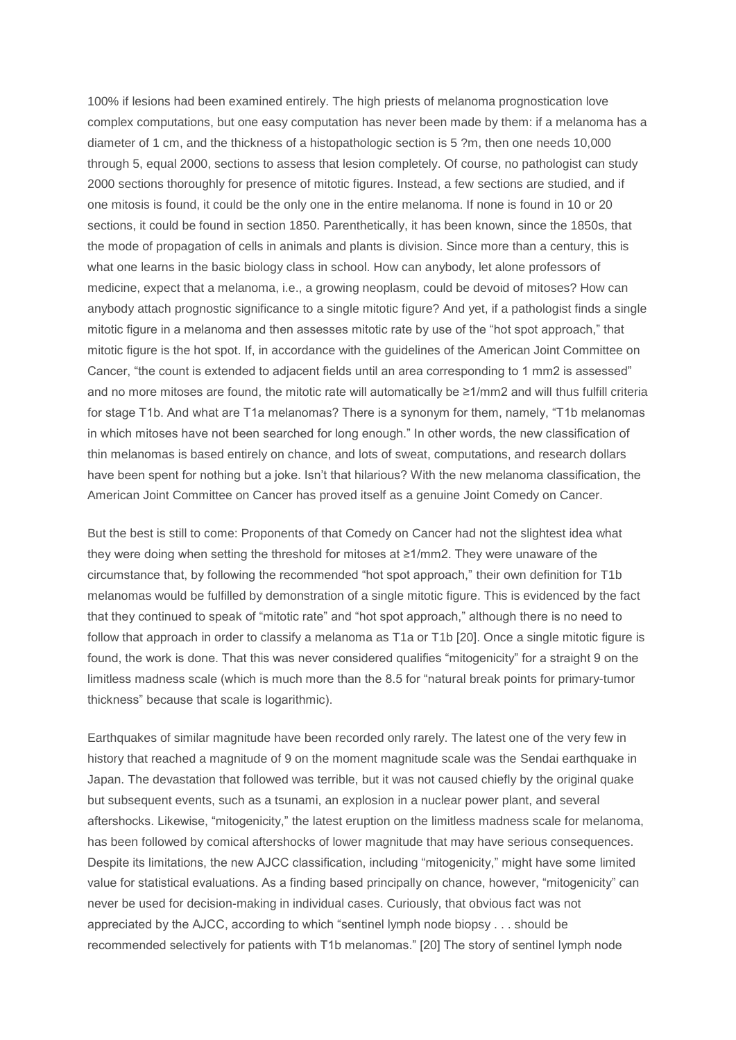100% if lesions had been examined entirely. The high priests of melanoma prognostication love complex computations, but one easy computation has never been made by them: if a melanoma has a diameter of 1 cm, and the thickness of a histopathologic section is 5 ?m, then one needs 10,000 through 5, equal 2000, sections to assess that lesion completely. Of course, no pathologist can study 2000 sections thoroughly for presence of mitotic figures. Instead, a few sections are studied, and if one mitosis is found, it could be the only one in the entire melanoma. If none is found in 10 or 20 sections, it could be found in section 1850. Parenthetically, it has been known, since the 1850s, that the mode of propagation of cells in animals and plants is division. Since more than a century, this is what one learns in the basic biology class in school. How can anybody, let alone professors of medicine, expect that a melanoma, i.e., a growing neoplasm, could be devoid of mitoses? How can anybody attach prognostic significance to a single mitotic figure? And yet, if a pathologist finds a single mitotic figure in a melanoma and then assesses mitotic rate by use of the "hot spot approach," that mitotic figure is the hot spot. If, in accordance with the guidelines of the American Joint Committee on Cancer, "the count is extended to adjacent fields until an area corresponding to 1 mm2 is assessed" and no more mitoses are found, the mitotic rate will automatically be ≥1/mm2 and will thus fulfill criteria for stage T1b. And what are T1a melanomas? There is a synonym for them, namely, "T1b melanomas in which mitoses have not been searched for long enough." In other words, the new classification of thin melanomas is based entirely on chance, and lots of sweat, computations, and research dollars have been spent for nothing but a joke. Isn't that hilarious? With the new melanoma classification, the American Joint Committee on Cancer has proved itself as a genuine Joint Comedy on Cancer.

But the best is still to come: Proponents of that Comedy on Cancer had not the slightest idea what they were doing when setting the threshold for mitoses at ≥1/mm2. They were unaware of the circumstance that, by following the recommended "hot spot approach," their own definition for T1b melanomas would be fulfilled by demonstration of a single mitotic figure. This is evidenced by the fact that they continued to speak of "mitotic rate" and "hot spot approach," although there is no need to follow that approach in order to classify a melanoma as T1a or T1b [20]. Once a single mitotic figure is found, the work is done. That this was never considered qualifies "mitogenicity" for a straight 9 on the limitless madness scale (which is much more than the 8.5 for "natural break points for primary-tumor thickness" because that scale is logarithmic).

Earthquakes of similar magnitude have been recorded only rarely. The latest one of the very few in history that reached a magnitude of 9 on the moment magnitude scale was the Sendai earthquake in Japan. The devastation that followed was terrible, but it was not caused chiefly by the original quake but subsequent events, such as a tsunami, an explosion in a nuclear power plant, and several aftershocks. Likewise, "mitogenicity," the latest eruption on the limitless madness scale for melanoma, has been followed by comical aftershocks of lower magnitude that may have serious consequences. Despite its limitations, the new AJCC classification, including "mitogenicity," might have some limited value for statistical evaluations. As a finding based principally on chance, however, "mitogenicity" can never be used for decision-making in individual cases. Curiously, that obvious fact was not appreciated by the AJCC, according to which "sentinel lymph node biopsy . . . should be recommended selectively for patients with T1b melanomas." [20] The story of sentinel lymph node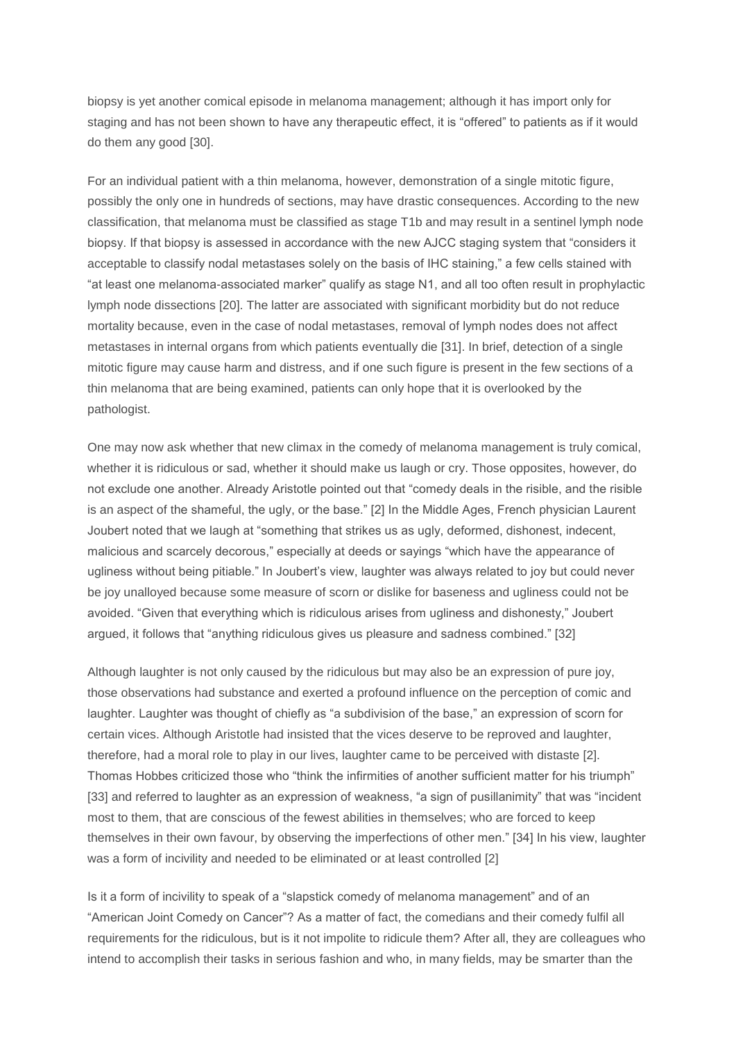biopsy is yet another comical episode in melanoma management; although it has import only for staging and has not been shown to have any therapeutic effect, it is "offered" to patients as if it would do them any good [30].

For an individual patient with a thin melanoma, however, demonstration of a single mitotic figure, possibly the only one in hundreds of sections, may have drastic consequences. According to the new classification, that melanoma must be classified as stage T1b and may result in a sentinel lymph node biopsy. If that biopsy is assessed in accordance with the new AJCC staging system that "considers it acceptable to classify nodal metastases solely on the basis of IHC staining," a few cells stained with "at least one melanoma-associated marker" qualify as stage N1, and all too often result in prophylactic lymph node dissections [20]. The latter are associated with significant morbidity but do not reduce mortality because, even in the case of nodal metastases, removal of lymph nodes does not affect metastases in internal organs from which patients eventually die [31]. In brief, detection of a single mitotic figure may cause harm and distress, and if one such figure is present in the few sections of a thin melanoma that are being examined, patients can only hope that it is overlooked by the pathologist.

One may now ask whether that new climax in the comedy of melanoma management is truly comical, whether it is ridiculous or sad, whether it should make us laugh or cry. Those opposites, however, do not exclude one another. Already Aristotle pointed out that "comedy deals in the risible, and the risible is an aspect of the shameful, the ugly, or the base." [2] In the Middle Ages, French physician Laurent Joubert noted that we laugh at "something that strikes us as ugly, deformed, dishonest, indecent, malicious and scarcely decorous," especially at deeds or sayings "which have the appearance of ugliness without being pitiable." In Joubert's view, laughter was always related to joy but could never be joy unalloyed because some measure of scorn or dislike for baseness and ugliness could not be avoided. "Given that everything which is ridiculous arises from ugliness and dishonesty," Joubert argued, it follows that "anything ridiculous gives us pleasure and sadness combined." [32]

Although laughter is not only caused by the ridiculous but may also be an expression of pure joy, those observations had substance and exerted a profound influence on the perception of comic and laughter. Laughter was thought of chiefly as "a subdivision of the base," an expression of scorn for certain vices. Although Aristotle had insisted that the vices deserve to be reproved and laughter, therefore, had a moral role to play in our lives, laughter came to be perceived with distaste [2]. Thomas Hobbes criticized those who "think the infirmities of another sufficient matter for his triumph" [33] and referred to laughter as an expression of weakness, "a sign of pusillanimity" that was "incident most to them, that are conscious of the fewest abilities in themselves; who are forced to keep themselves in their own favour, by observing the imperfections of other men." [34] In his view, laughter was a form of incivility and needed to be eliminated or at least controlled [2]

Is it a form of incivility to speak of a "slapstick comedy of melanoma management" and of an "American Joint Comedy on Cancer"? As a matter of fact, the comedians and their comedy fulfil all requirements for the ridiculous, but is it not impolite to ridicule them? After all, they are colleagues who intend to accomplish their tasks in serious fashion and who, in many fields, may be smarter than the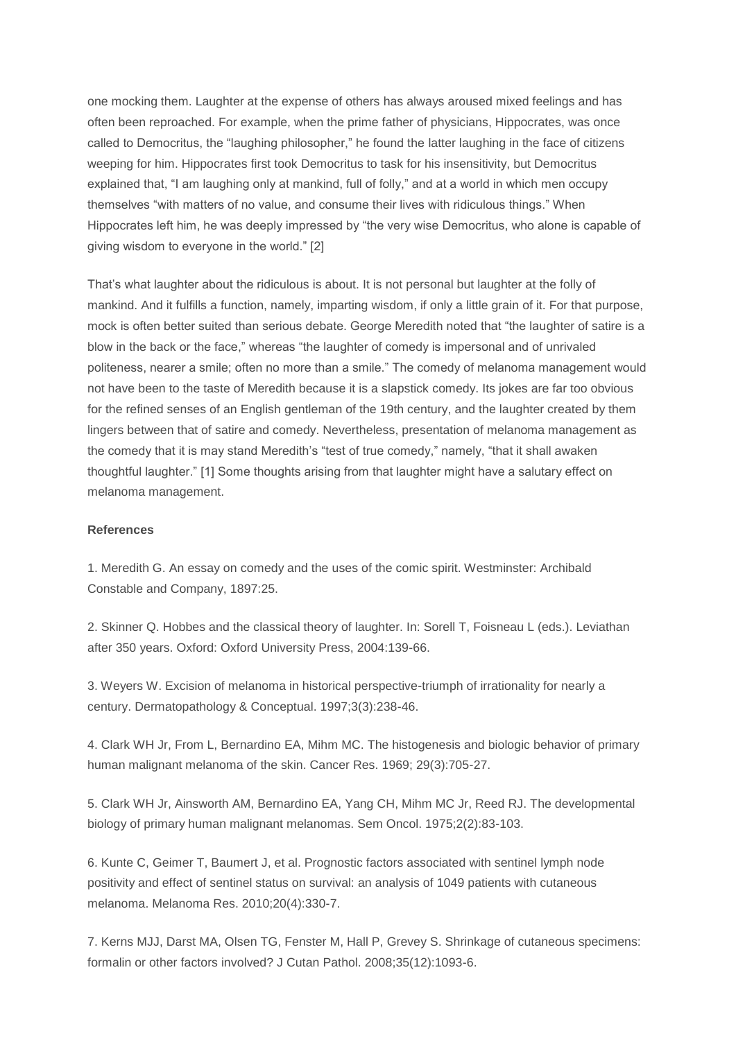one mocking them. Laughter at the expense of others has always aroused mixed feelings and has often been reproached. For example, when the prime father of physicians, Hippocrates, was once called to Democritus, the "laughing philosopher," he found the latter laughing in the face of citizens weeping for him. Hippocrates first took Democritus to task for his insensitivity, but Democritus explained that, "I am laughing only at mankind, full of folly," and at a world in which men occupy themselves "with matters of no value, and consume their lives with ridiculous things." When Hippocrates left him, he was deeply impressed by "the very wise Democritus, who alone is capable of giving wisdom to everyone in the world." [2]

That's what laughter about the ridiculous is about. It is not personal but laughter at the folly of mankind. And it fulfills a function, namely, imparting wisdom, if only a little grain of it. For that purpose, mock is often better suited than serious debate. George Meredith noted that "the laughter of satire is a blow in the back or the face," whereas "the laughter of comedy is impersonal and of unrivaled politeness, nearer a smile; often no more than a smile." The comedy of melanoma management would not have been to the taste of Meredith because it is a slapstick comedy. Its jokes are far too obvious for the refined senses of an English gentleman of the 19th century, and the laughter created by them lingers between that of satire and comedy. Nevertheless, presentation of melanoma management as the comedy that it is may stand Meredith's "test of true comedy," namely, "that it shall awaken thoughtful laughter." [1] Some thoughts arising from that laughter might have a salutary effect on melanoma management.

## **References**

1. Meredith G. An essay on comedy and the uses of the comic spirit. Westminster: Archibald Constable and Company, 1897:25.

2. Skinner Q. Hobbes and the classical theory of laughter. In: Sorell T, Foisneau L (eds.). Leviathan after 350 years. Oxford: Oxford University Press, 2004:139-66.

3. Weyers W. Excision of melanoma in historical perspective-triumph of irrationality for nearly a century. Dermatopathology & Conceptual. 1997;3(3):238-46.

4. Clark WH Jr, From L, Bernardino EA, Mihm MC. The histogenesis and biologic behavior of primary human malignant melanoma of the skin. Cancer Res. 1969; 29(3):705-27.

5. Clark WH Jr, Ainsworth AM, Bernardino EA, Yang CH, Mihm MC Jr, Reed RJ. The developmental biology of primary human malignant melanomas. Sem Oncol. 1975;2(2):83-103.

6. Kunte C, Geimer T, Baumert J, et al. Prognostic factors associated with sentinel lymph node positivity and effect of sentinel status on survival: an analysis of 1049 patients with cutaneous melanoma. Melanoma Res. 2010;20(4):330-7.

7. Kerns MJJ, Darst MA, Olsen TG, Fenster M, Hall P, Grevey S. Shrinkage of cutaneous specimens: formalin or other factors involved? J Cutan Pathol. 2008;35(12):1093-6.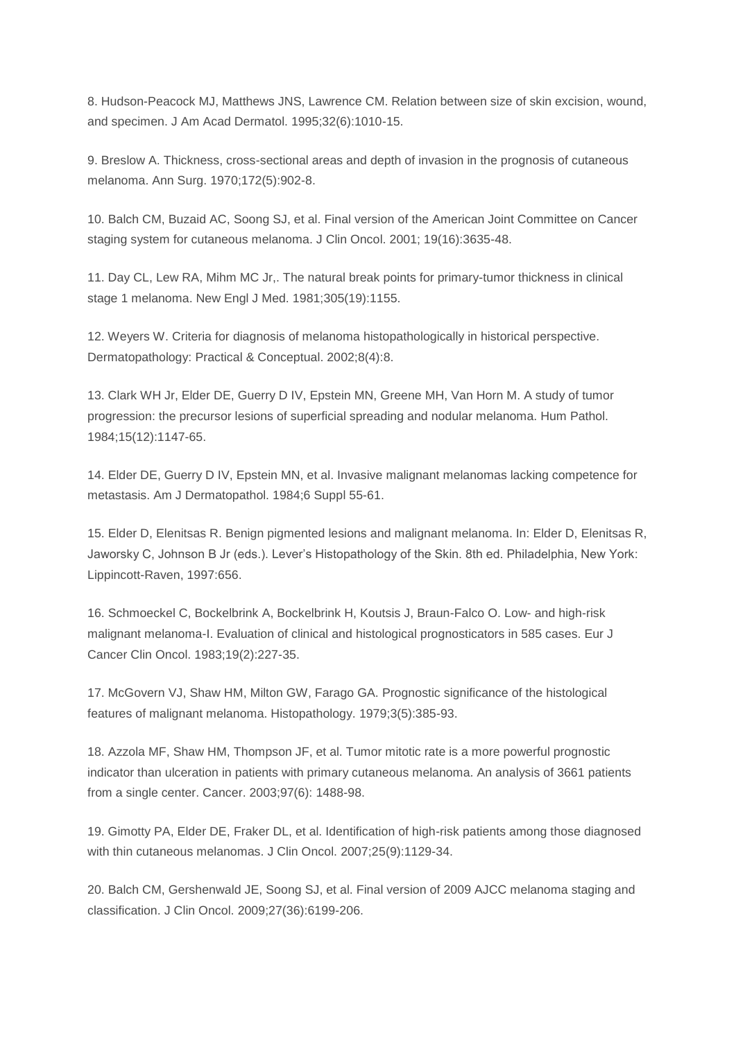8. Hudson-Peacock MJ, Matthews JNS, Lawrence CM. Relation between size of skin excision, wound, and specimen. J Am Acad Dermatol. 1995;32(6):1010-15.

9. Breslow A. Thickness, cross-sectional areas and depth of invasion in the prognosis of cutaneous melanoma. Ann Surg. 1970;172(5):902-8.

10. Balch CM, Buzaid AC, Soong SJ, et al. Final version of the American Joint Committee on Cancer staging system for cutaneous melanoma. J Clin Oncol. 2001; 19(16):3635-48.

11. Day CL, Lew RA, Mihm MC Jr,. The natural break points for primary-tumor thickness in clinical stage 1 melanoma. New Engl J Med. 1981;305(19):1155.

12. Weyers W. Criteria for diagnosis of melanoma histopathologically in historical perspective. Dermatopathology: Practical & Conceptual. 2002;8(4):8.

13. Clark WH Jr, Elder DE, Guerry D IV, Epstein MN, Greene MH, Van Horn M. A study of tumor progression: the precursor lesions of superficial spreading and nodular melanoma. Hum Pathol. 1984;15(12):1147-65.

14. Elder DE, Guerry D IV, Epstein MN, et al. Invasive malignant melanomas lacking competence for metastasis. Am J Dermatopathol. 1984;6 Suppl 55-61.

15. Elder D, Elenitsas R. Benign pigmented lesions and malignant melanoma. In: Elder D, Elenitsas R, Jaworsky C, Johnson B Jr (eds.). Lever's Histopathology of the Skin. 8th ed. Philadelphia, New York: Lippincott-Raven, 1997:656.

16. Schmoeckel C, Bockelbrink A, Bockelbrink H, Koutsis J, Braun-Falco O. Low- and high-risk malignant melanoma-I. Evaluation of clinical and histological prognosticators in 585 cases. Eur J Cancer Clin Oncol. 1983;19(2):227-35.

17. McGovern VJ, Shaw HM, Milton GW, Farago GA. Prognostic significance of the histological features of malignant melanoma. Histopathology. 1979;3(5):385-93.

18. Azzola MF, Shaw HM, Thompson JF, et al. Tumor mitotic rate is a more powerful prognostic indicator than ulceration in patients with primary cutaneous melanoma. An analysis of 3661 patients from a single center. Cancer. 2003;97(6): 1488-98.

19. Gimotty PA, Elder DE, Fraker DL, et al. Identification of high-risk patients among those diagnosed with thin cutaneous melanomas. J Clin Oncol. 2007;25(9):1129-34.

20. Balch CM, Gershenwald JE, Soong SJ, et al. Final version of 2009 AJCC melanoma staging and classification. J Clin Oncol. 2009;27(36):6199-206.